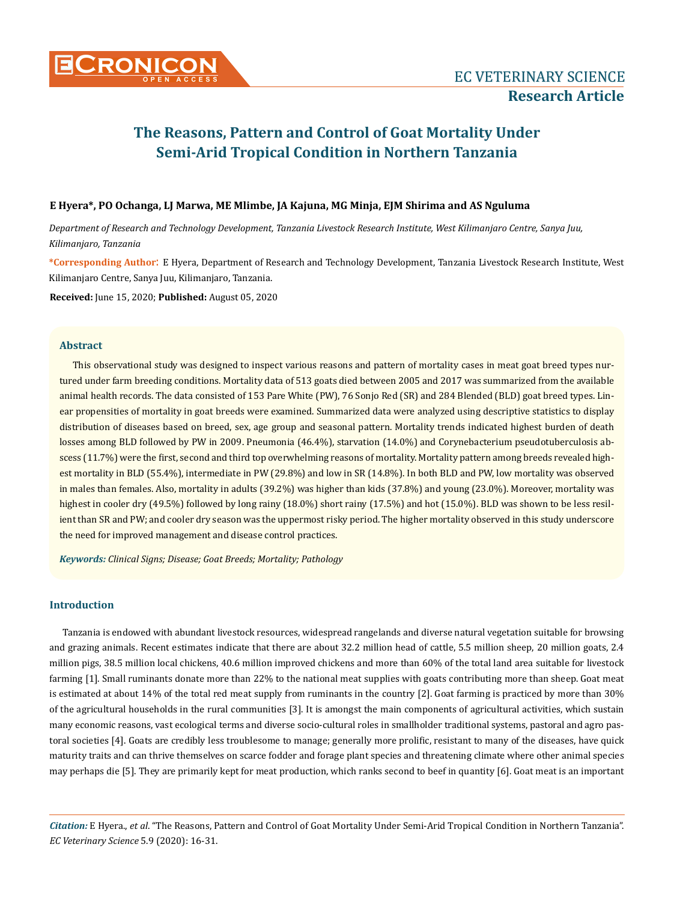# **E Hyera\*, PO Ochanga, LJ Marwa, ME Mlimbe, JA Kajuna, MG Minja, EJM Shirima and AS Nguluma**

*Department of Research and Technology Development, Tanzania Livestock Research Institute, West Kilimanjaro Centre, Sanya Juu, Kilimanjaro, Tanzania* 

**\*Corresponding Author**: E Hyera, Department of Research and Technology Development, Tanzania Livestock Research Institute, West Kilimanjaro Centre, Sanya Juu, Kilimanjaro, Tanzania.

**Received:** June 15, 2020; **Published:** August 05, 2020

#### **Abstract**

This observational study was designed to inspect various reasons and pattern of mortality cases in meat goat breed types nurtured under farm breeding conditions. Mortality data of 513 goats died between 2005 and 2017 was summarized from the available animal health records. The data consisted of 153 Pare White (PW), 76 Sonjo Red (SR) and 284 Blended (BLD) goat breed types. Linear propensities of mortality in goat breeds were examined. Summarized data were analyzed using descriptive statistics to display distribution of diseases based on breed, sex, age group and seasonal pattern. Mortality trends indicated highest burden of death losses among BLD followed by PW in 2009. Pneumonia (46.4%), starvation (14.0%) and Corynebacterium pseudotuberculosis abscess (11.7%) were the first, second and third top overwhelming reasons of mortality. Mortality pattern among breeds revealed highest mortality in BLD (55.4%), intermediate in PW (29.8%) and low in SR (14.8%). In both BLD and PW, low mortality was observed in males than females. Also, mortality in adults (39.2%) was higher than kids (37.8%) and young (23.0%). Moreover, mortality was highest in cooler dry (49.5%) followed by long rainy (18.0%) short rainy (17.5%) and hot (15.0%). BLD was shown to be less resilient than SR and PW; and cooler dry season was the uppermost risky period. The higher mortality observed in this study underscore the need for improved management and disease control practices.

*Keywords: Clinical Signs; Disease; Goat Breeds; Mortality; Pathology*

# **Introduction**

Tanzania is endowed with abundant livestock resources, widespread rangelands and diverse natural vegetation suitable for browsing and grazing animals. Recent estimates indicate that there are about 32.2 million head of cattle, 5.5 million sheep, 20 million goats, 2.4 million pigs, 38.5 million local chickens, 40.6 million improved chickens and more than 60% of the total land area suitable for livestock farming [1]. Small ruminants donate more than 22% to the national meat supplies with goats contributing more than sheep. Goat meat is estimated at about 14% of the total red meat supply from ruminants in the country [2]. Goat farming is practiced by more than 30% of the agricultural households in the rural communities [3]. It is amongst the main components of agricultural activities, which sustain many economic reasons, vast ecological terms and diverse socio-cultural roles in smallholder traditional systems, pastoral and agro pastoral societies [4]. Goats are credibly less troublesome to manage; generally more prolific, resistant to many of the diseases, have quick maturity traits and can thrive themselves on scarce fodder and forage plant species and threatening climate where other animal species may perhaps die [5]. They are primarily kept for meat production, which ranks second to beef in quantity [6]. Goat meat is an important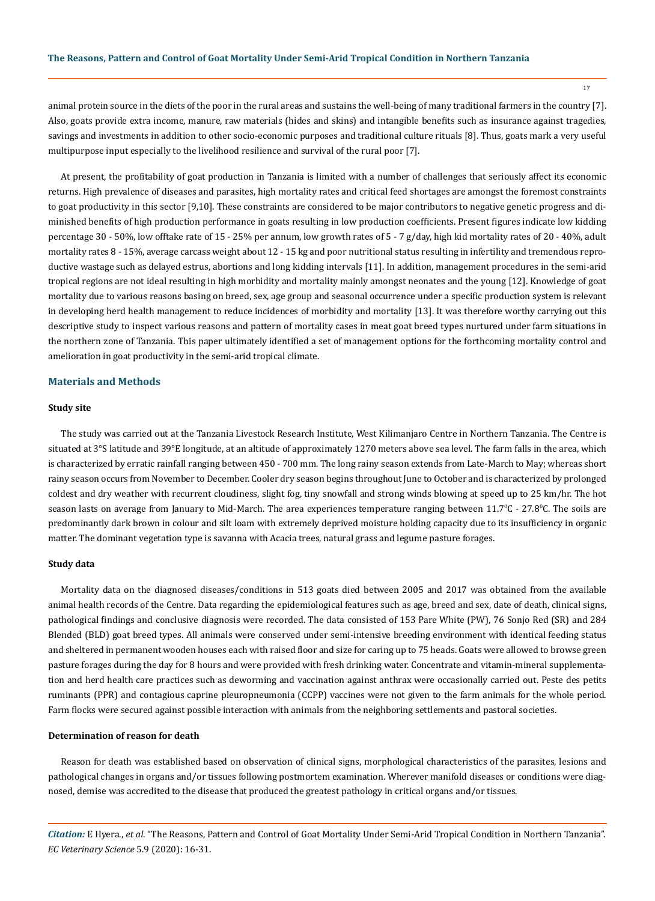17

animal protein source in the diets of the poor in the rural areas and sustains the well-being of many traditional farmers in the country [7]. Also, goats provide extra income, manure, raw materials (hides and skins) and intangible benefits such as insurance against tragedies, savings and investments in addition to other socio-economic purposes and traditional culture rituals [8]. Thus, goats mark a very useful multipurpose input especially to the livelihood resilience and survival of the rural poor [7].

At present, the profitability of goat production in Tanzania is limited with a number of challenges that seriously affect its economic returns. High prevalence of diseases and parasites, high mortality rates and critical feed shortages are amongst the foremost constraints to goat productivity in this sector [9,10]. These constraints are considered to be major contributors to negative genetic progress and diminished benefits of high production performance in goats resulting in low production coefficients. Present figures indicate low kidding percentage 30 - 50%, low offtake rate of 15 - 25% per annum, low growth rates of 5 - 7 g/day, high kid mortality rates of 20 - 40%, adult mortality rates 8 - 15%, average carcass weight about 12 - 15 kg and poor nutritional status resulting in infertility and tremendous reproductive wastage such as delayed estrus, abortions and long kidding intervals [11]. In addition, management procedures in the semi-arid tropical regions are not ideal resulting in high morbidity and mortality mainly amongst neonates and the young [12]. Knowledge of goat mortality due to various reasons basing on breed, sex, age group and seasonal occurrence under a specific production system is relevant in developing herd health management to reduce incidences of morbidity and mortality [13]. It was therefore worthy carrying out this descriptive study to inspect various reasons and pattern of mortality cases in meat goat breed types nurtured under farm situations in the northern zone of Tanzania. This paper ultimately identified a set of management options for the forthcoming mortality control and amelioration in goat productivity in the semi-arid tropical climate.

### **Materials and Methods**

#### **Study site**

The study was carried out at the Tanzania Livestock Research Institute, West Kilimanjaro Centre in Northern Tanzania. The Centre is situated at 3°S latitude and 39°E longitude, at an altitude of approximately 1270 meters above sea level. The farm falls in the area, which is characterized by erratic rainfall ranging between 450 - 700 mm. The long rainy season extends from Late-March to May; whereas short rainy season occurs from November to December. Cooler dry season begins throughout June to October and is characterized by prolonged coldest and dry weather with recurrent cloudiness, slight fog, tiny snowfall and strong winds blowing at speed up to 25 km/hr. The hot season lasts on average from January to Mid-March. The area experiences temperature ranging between 11.7°C - 27.8°C. The soils are predominantly dark brown in colour and silt loam with extremely deprived moisture holding capacity due to its insufficiency in organic matter. The dominant vegetation type is savanna with Acacia trees, natural grass and legume pasture forages.

#### **Study data**

Mortality data on the diagnosed diseases/conditions in 513 goats died between 2005 and 2017 was obtained from the available animal health records of the Centre. Data regarding the epidemiological features such as age, breed and sex, date of death, clinical signs, pathological findings and conclusive diagnosis were recorded. The data consisted of 153 Pare White (PW), 76 Sonjo Red (SR) and 284 Blended (BLD) goat breed types. All animals were conserved under semi-intensive breeding environment with identical feeding status and sheltered in permanent wooden houses each with raised floor and size for caring up to 75 heads. Goats were allowed to browse green pasture forages during the day for 8 hours and were provided with fresh drinking water. Concentrate and vitamin-mineral supplementation and herd health care practices such as deworming and vaccination against anthrax were occasionally carried out. Peste des petits ruminants (PPR) and contagious caprine pleuropneumonia (CCPP) vaccines were not given to the farm animals for the whole period. Farm flocks were secured against possible interaction with animals from the neighboring settlements and pastoral societies.

## **Determination of reason for death**

Reason for death was established based on observation of clinical signs, morphological characteristics of the parasites, lesions and pathological changes in organs and/or tissues following postmortem examination. Wherever manifold diseases or conditions were diagnosed, demise was accredited to the disease that produced the greatest pathology in critical organs and/or tissues.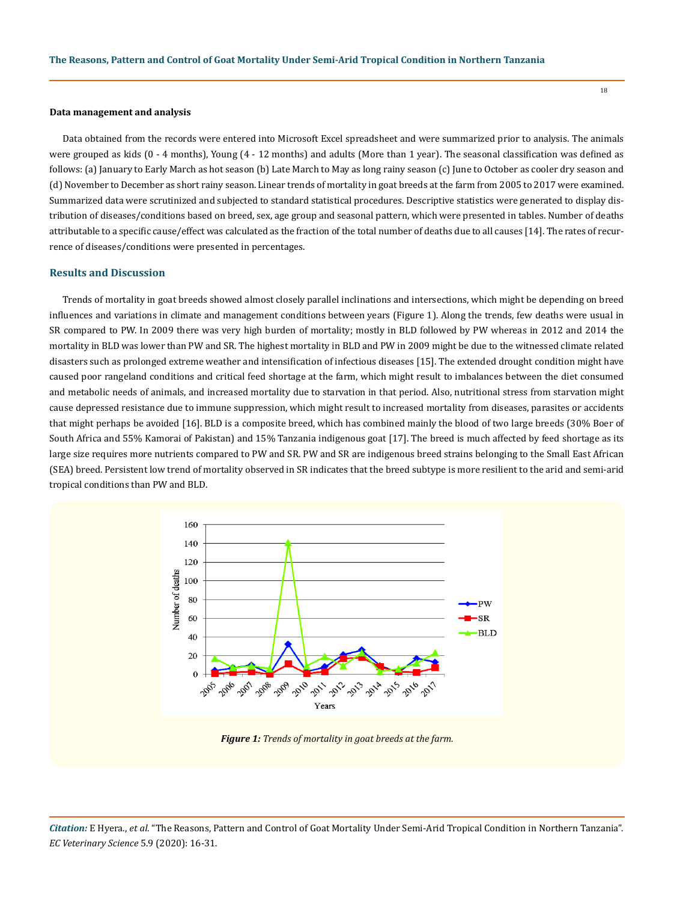#### **Data management and analysis**

Data obtained from the records were entered into Microsoft Excel spreadsheet and were summarized prior to analysis. The animals were grouped as kids (0 - 4 months), Young (4 - 12 months) and adults (More than 1 year). The seasonal classification was defined as follows: (a) January to Early March as hot season (b) Late March to May as long rainy season (c) June to October as cooler dry season and (d) November to December as short rainy season. Linear trends of mortality in goat breeds at the farm from 2005 to 2017 were examined. Summarized data were scrutinized and subjected to standard statistical procedures. Descriptive statistics were generated to display distribution of diseases/conditions based on breed, sex, age group and seasonal pattern, which were presented in tables. Number of deaths attributable to a specific cause/effect was calculated as the fraction of the total number of deaths due to all causes [14]. The rates of recurrence of diseases/conditions were presented in percentages.

#### **Results and Discussion**

Trends of mortality in goat breeds showed almost closely parallel inclinations and intersections, which might be depending on breed influences and variations in climate and management conditions between years (Figure 1). Along the trends, few deaths were usual in SR compared to PW. In 2009 there was very high burden of mortality; mostly in BLD followed by PW whereas in 2012 and 2014 the mortality in BLD was lower than PW and SR. The highest mortality in BLD and PW in 2009 might be due to the witnessed climate related disasters such as prolonged extreme weather and intensification of infectious diseases [15]. The extended drought condition might have caused poor rangeland conditions and critical feed shortage at the farm, which might result to imbalances between the diet consumed and metabolic needs of animals, and increased mortality due to starvation in that period. Also, nutritional stress from starvation might cause depressed resistance due to immune suppression, which might result to increased mortality from diseases, parasites or accidents that might perhaps be avoided [16]. BLD is a composite breed, which has combined mainly the blood of two large breeds (30% Boer of South Africa and 55% Kamorai of Pakistan) and 15% Tanzania indigenous goat [17]. The breed is much affected by feed shortage as its large size requires more nutrients compared to PW and SR. PW and SR are indigenous breed strains belonging to the Small East African (SEA) breed. Persistent low trend of mortality observed in SR indicates that the breed subtype is more resilient to the arid and semi-arid tropical conditions than PW and BLD.



*Figure 1: Trends of mortality in goat breeds at the farm.*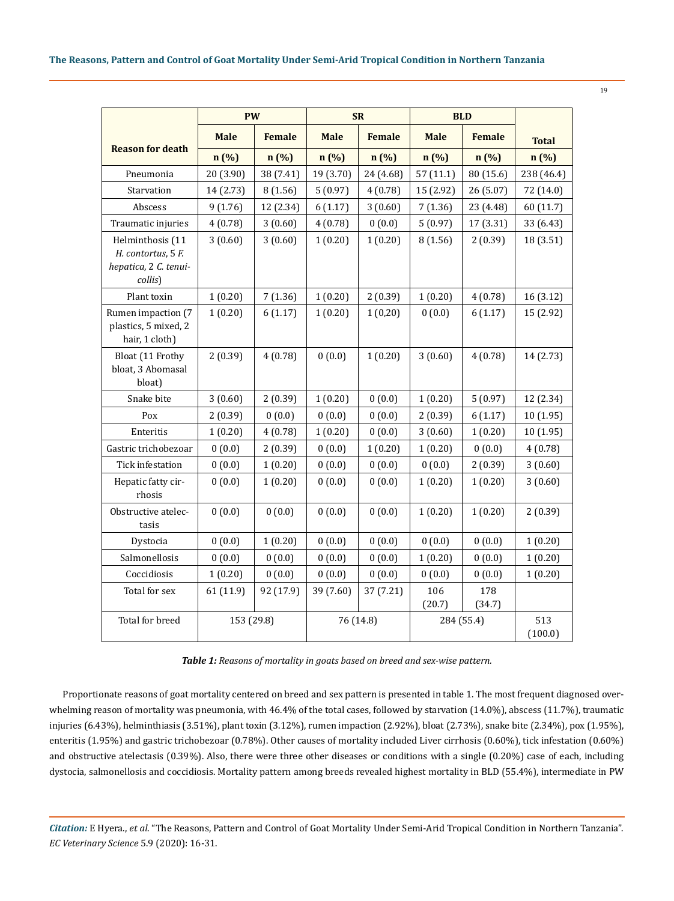|                                                                            | <b>PW</b>   |               | <b>SR</b>   |               | <b>BLD</b>    |               |                |
|----------------------------------------------------------------------------|-------------|---------------|-------------|---------------|---------------|---------------|----------------|
|                                                                            | <b>Male</b> | <b>Female</b> | <b>Male</b> | <b>Female</b> | <b>Male</b>   | <b>Female</b> | <b>Total</b>   |
| <b>Reason for death</b>                                                    | n (%)       | n(%)          | n (%)       | n (%)         | n(%)          | n(%)          | n(%)           |
| Pneumonia                                                                  | 20 (3.90)   | 38 (7.41)     | 19 (3.70)   | 24 (4.68)     | 57(11.1)      | 80 (15.6)     | 238 (46.4)     |
| Starvation                                                                 | 14 (2.73)   | 8(1.56)       | 5(0.97)     | 4(0.78)       | 15 (2.92)     | 26 (5.07)     | 72 (14.0)      |
| Abscess                                                                    | 9(1.76)     | 12 (2.34)     | 6(1.17)     | 3(0.60)       | 7(1.36)       | 23 (4.48)     | 60 (11.7)      |
| Traumatic injuries                                                         | 4(0.78)     | 3(0.60)       | 4(0.78)     | 0(0.0)        | 5(0.97)       | 17 (3.31)     | 33 (6.43)      |
| Helminthosis (11<br>H. contortus, 5 F.<br>hepatica, 2 C. tenui-<br>collis) | 3(0.60)     | 3(0.60)       | 1(0.20)     | 1(0.20)       | 8(1.56)       | 2(0.39)       | 18 (3.51)      |
| Plant toxin                                                                | 1(0.20)     | 7(1.36)       | 1(0.20)     | 2(0.39)       | 1(0.20)       | 4(0.78)       | 16(3.12)       |
| Rumen impaction (7<br>plastics, 5 mixed, 2<br>hair, 1 cloth)               | 1(0.20)     | 6(1.17)       | 1(0.20)     | 1(0,20)       | 0(0.0)        | 6(1.17)       | 15 (2.92)      |
| Bloat (11 Frothy<br>bloat, 3 Abomasal<br>bloat)                            | 2(0.39)     | 4(0.78)       | 0(0.0)      | 1(0.20)       | 3(0.60)       | 4(0.78)       | 14 (2.73)      |
| Snake bite                                                                 | 3(0.60)     | 2(0.39)       | 1(0.20)     | 0(0.0)        | 1(0.20)       | 5(0.97)       | 12 (2.34)      |
| Pox                                                                        | 2(0.39)     | 0(0.0)        | 0(0.0)      | 0(0.0)        | 2(0.39)       | 6(1.17)       | 10(1.95)       |
| Enteritis                                                                  | 1(0.20)     | 4(0.78)       | 1(0.20)     | 0(0.0)        | 3(0.60)       | 1(0.20)       | 10 (1.95)      |
| Gastric trichobezoar                                                       | 0(0.0)      | 2(0.39)       | 0(0.0)      | 1(0.20)       | 1(0.20)       | 0(0.0)        | 4(0.78)        |
| Tick infestation                                                           | 0(0.0)      | 1(0.20)       | 0(0.0)      | 0(0.0)        | 0(0.0)        | 2(0.39)       | 3(0.60)        |
| Hepatic fatty cir-<br>rhosis                                               | 0(0.0)      | 1(0.20)       | 0(0.0)      | 0(0.0)        | 1(0.20)       | 1(0.20)       | 3(0.60)        |
| Obstructive atelec-<br>tasis                                               | 0(0.0)      | 0(0.0)        | 0(0.0)      | 0(0.0)        | 1(0.20)       | 1(0.20)       | 2(0.39)        |
| Dystocia                                                                   | 0(0.0)      | 1(0.20)       | 0(0.0)      | 0(0.0)        | 0(0.0)        | 0(0.0)        | 1(0.20)        |
| Salmonellosis                                                              | 0(0.0)      | 0(0.0)        | 0(0.0)      | 0(0.0)        | 1(0.20)       | 0(0.0)        | 1(0.20)        |
| Coccidiosis                                                                | 1(0.20)     | 0(0.0)        | 0(0.0)      | 0(0.0)        | 0(0.0)        | 0(0.0)        | 1(0.20)        |
| Total for sex                                                              | 61 (11.9)   | 92 (17.9)     | 39 (7.60)   | 37 (7.21)     | 106<br>(20.7) | 178<br>(34.7) |                |
| Total for breed                                                            | 153 (29.8)  |               | 76 (14.8)   |               | 284 (55.4)    |               | 513<br>(100.0) |

*Table 1: Reasons of mortality in goats based on breed and sex-wise pattern.*

Proportionate reasons of goat mortality centered on breed and sex pattern is presented in table 1. The most frequent diagnosed overwhelming reason of mortality was pneumonia, with 46.4% of the total cases, followed by starvation (14.0%), abscess (11.7%), traumatic injuries (6.43%), helminthiasis (3.51%), plant toxin (3.12%), rumen impaction (2.92%), bloat (2.73%), snake bite (2.34%), pox (1.95%), enteritis (1.95%) and gastric trichobezoar (0.78%). Other causes of mortality included Liver cirrhosis (0.60%), tick infestation (0.60%) and obstructive atelectasis (0.39%). Also, there were three other diseases or conditions with a single (0.20%) case of each, including dystocia, salmonellosis and coccidiosis. Mortality pattern among breeds revealed highest mortality in BLD (55.4%), intermediate in PW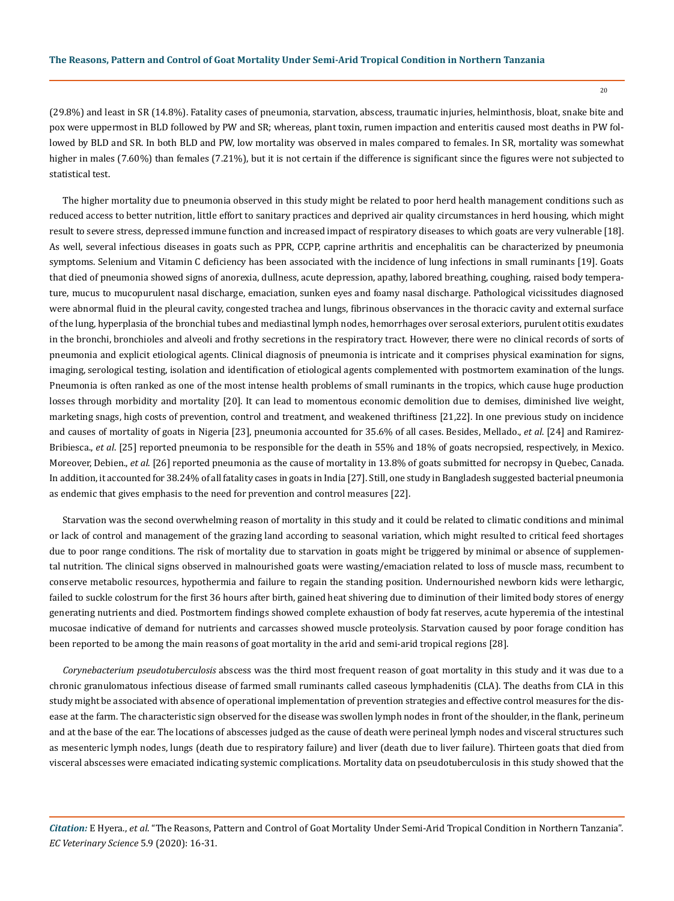(29.8%) and least in SR (14.8%). Fatality cases of pneumonia, starvation, abscess, traumatic injuries, helminthosis, bloat, snake bite and pox were uppermost in BLD followed by PW and SR; whereas, plant toxin, rumen impaction and enteritis caused most deaths in PW followed by BLD and SR. In both BLD and PW, low mortality was observed in males compared to females. In SR, mortality was somewhat higher in males (7.60%) than females (7.21%), but it is not certain if the difference is significant since the figures were not subjected to statistical test.

The higher mortality due to pneumonia observed in this study might be related to poor herd health management conditions such as reduced access to better nutrition, little effort to sanitary practices and deprived air quality circumstances in herd housing, which might result to severe stress, depressed immune function and increased impact of respiratory diseases to which goats are very vulnerable [18]. As well, several infectious diseases in goats such as PPR, CCPP, caprine arthritis and encephalitis can be characterized by pneumonia symptoms. Selenium and Vitamin C deficiency has been associated with the incidence of lung infections in small ruminants [19]. Goats that died of pneumonia showed signs of anorexia, dullness, acute depression, apathy, labored breathing, coughing, raised body temperature, mucus to mucopurulent nasal discharge, emaciation, sunken eyes and foamy nasal discharge. Pathological vicissitudes diagnosed were abnormal fluid in the pleural cavity, congested trachea and lungs, fibrinous observances in the thoracic cavity and external surface of the lung, hyperplasia of the bronchial tubes and mediastinal lymph nodes, hemorrhages over serosal exteriors, purulent otitis exudates in the bronchi, bronchioles and alveoli and frothy secretions in the respiratory tract. However, there were no clinical records of sorts of pneumonia and explicit etiological agents. Clinical diagnosis of pneumonia is intricate and it comprises physical examination for signs, imaging, serological testing, isolation and identification of etiological agents complemented with postmortem examination of the lungs. Pneumonia is often ranked as one of the most intense health problems of small ruminants in the tropics, which cause huge production losses through morbidity and mortality [20]. It can lead to momentous economic demolition due to demises, diminished live weight, marketing snags, high costs of prevention, control and treatment, and weakened thriftiness [21,22]. In one previous study on incidence and causes of mortality of goats in Nigeria [23], pneumonia accounted for 35.6% of all cases. Besides, Mellado., *et al*. [24] and Ramirez-Bribiesca., *et al*. [25] reported pneumonia to be responsible for the death in 55% and 18% of goats necropsied, respectively, in Mexico. Moreover, Debien., *et al*. [26] reported pneumonia as the cause of mortality in 13.8% of goats submitted for necropsy in Quebec, Canada. In addition, it accounted for 38.24% of all fatality cases in goats in India [27]. Still, one study in Bangladesh suggested bacterial pneumonia as endemic that gives emphasis to the need for prevention and control measures [22].

Starvation was the second overwhelming reason of mortality in this study and it could be related to climatic conditions and minimal or lack of control and management of the grazing land according to seasonal variation, which might resulted to critical feed shortages due to poor range conditions. The risk of mortality due to starvation in goats might be triggered by minimal or absence of supplemental nutrition. The clinical signs observed in malnourished goats were wasting/emaciation related to loss of muscle mass, recumbent to conserve metabolic resources, hypothermia and failure to regain the standing position. Undernourished newborn kids were lethargic, failed to suckle colostrum for the first 36 hours after birth, gained heat shivering due to diminution of their limited body stores of energy generating nutrients and died. Postmortem findings showed complete exhaustion of body fat reserves, acute hyperemia of the intestinal mucosae indicative of demand for nutrients and carcasses showed muscle proteolysis. Starvation caused by poor forage condition has been reported to be among the main reasons of goat mortality in the arid and semi-arid tropical regions [28].

*Corynebacterium pseudotuberculosis* abscess was the third most frequent reason of goat mortality in this study and it was due to a chronic granulomatous infectious disease of farmed small ruminants called caseous lymphadenitis (CLA). The deaths from CLA in this study might be associated with absence of operational implementation of prevention strategies and effective control measures for the disease at the farm. The characteristic sign observed for the disease was swollen lymph nodes in front of the shoulder, in the flank, perineum and at the base of the ear. The locations of abscesses judged as the cause of death were perineal lymph nodes and visceral structures such as mesenteric lymph nodes, lungs (death due to respiratory failure) and liver (death due to liver failure). Thirteen goats that died from visceral abscesses were emaciated indicating systemic complications. Mortality data on pseudotuberculosis in this study showed that the

*Citation:* E Hyera., *et al*. "The Reasons, Pattern and Control of Goat Mortality Under Semi-Arid Tropical Condition in Northern Tanzania". *EC Veterinary Science* 5.9 (2020): 16-31.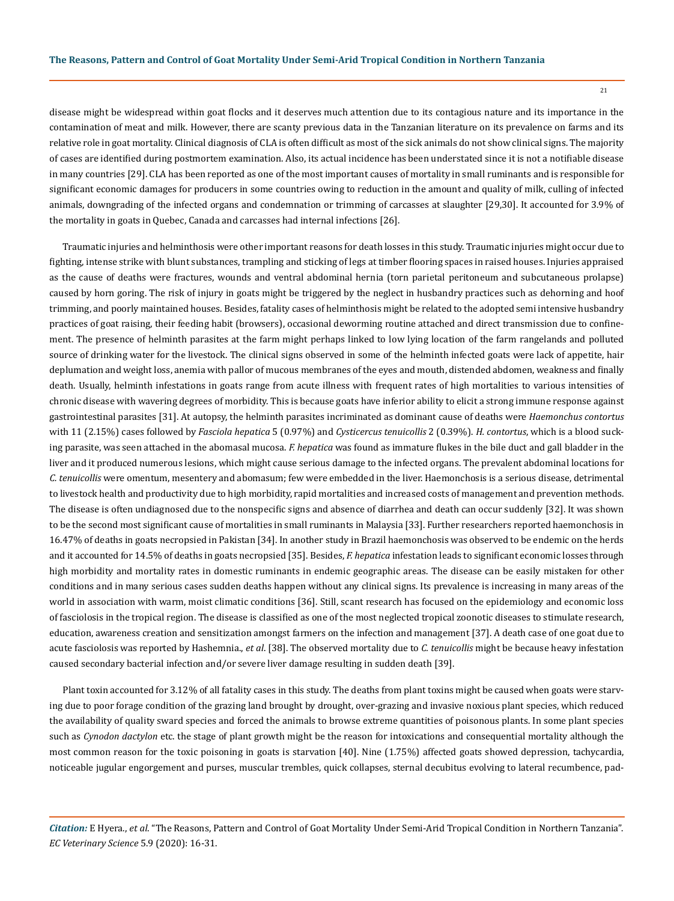disease might be widespread within goat flocks and it deserves much attention due to its contagious nature and its importance in the contamination of meat and milk. However, there are scanty previous data in the Tanzanian literature on its prevalence on farms and its relative role in goat mortality. Clinical diagnosis of CLA is often difficult as most of the sick animals do not show clinical signs. The majority of cases are identified during postmortem examination. Also, its actual incidence has been understated since it is not a notifiable disease in many countries [29]. CLA has been reported as one of the most important causes of mortality in small ruminants and is responsible for significant economic damages for producers in some countries owing to reduction in the amount and quality of milk, culling of infected animals, downgrading of the infected organs and condemnation or trimming of carcasses at slaughter [29,30]. It accounted for 3.9% of the mortality in goats in Quebec, Canada and carcasses had internal infections [26].

Traumatic injuries and helminthosis were other important reasons for death losses in this study. Traumatic injuries might occur due to fighting, intense strike with blunt substances, trampling and sticking of legs at timber flooring spaces in raised houses. Injuries appraised as the cause of deaths were fractures, wounds and ventral abdominal hernia (torn parietal peritoneum and subcutaneous prolapse) caused by horn goring. The risk of injury in goats might be triggered by the neglect in husbandry practices such as dehorning and hoof trimming, and poorly maintained houses. Besides, fatality cases of helminthosis might be related to the adopted semi intensive husbandry practices of goat raising, their feeding habit (browsers), occasional deworming routine attached and direct transmission due to confinement. The presence of helminth parasites at the farm might perhaps linked to low lying location of the farm rangelands and polluted source of drinking water for the livestock. The clinical signs observed in some of the helminth infected goats were lack of appetite, hair deplumation and weight loss, anemia with pallor of mucous membranes of the eyes and mouth, distended abdomen, weakness and finally death. Usually, helminth infestations in goats range from acute illness with frequent rates of high mortalities to various intensities of chronic disease with wavering degrees of morbidity. This is because goats have inferior ability to elicit a strong immune response against gastrointestinal parasites [31]. At autopsy, the helminth parasites incriminated as dominant cause of deaths were *Haemonchus contortus* with 11 (2.15%) cases followed by *Fasciola hepatica* 5 (0.97%) and *Cysticercus tenuicollis* 2 (0.39%). *H. contortus*, which is a blood sucking parasite, was seen attached in the abomasal mucosa. *F. hepatica* was found as immature flukes in the bile duct and gall bladder in the liver and it produced numerous lesions, which might cause serious damage to the infected organs. The prevalent abdominal locations for *C. tenuicollis* were omentum, mesentery and abomasum; few were embedded in the liver. Haemonchosis is a serious disease, detrimental to livestock health and productivity due to high morbidity, rapid mortalities and increased costs of management and prevention methods. The disease is often undiagnosed due to the nonspecific signs and absence of diarrhea and death can occur suddenly [32]. It was shown to be the second most significant cause of mortalities in small ruminants in Malaysia [33]. Further researchers reported haemonchosis in 16.47% of deaths in goats necropsied in Pakistan [34]. In another study in Brazil haemonchosis was observed to be endemic on the herds and it accounted for 14.5% of deaths in goats necropsied [35]. Besides, *F. hepatica* infestation leads to significant economic losses through high morbidity and mortality rates in domestic ruminants in endemic geographic areas. The disease can be easily mistaken for other conditions and in many serious cases sudden deaths happen without any clinical signs. Its prevalence is increasing in many areas of the world in association with warm, moist climatic conditions [36]. Still, scant research has focused on the epidemiology and economic loss of fasciolosis in the tropical region. The disease is classified as one of the most neglected tropical zoonotic diseases to stimulate research, education, awareness creation and sensitization amongst farmers on the infection and management [37]. A death case of one goat due to acute fasciolosis was reported by Hashemnia., *et al*. [38]. The observed mortality due to *C. tenuicollis* might be because heavy infestation caused secondary bacterial infection and/or severe liver damage resulting in sudden death [39].

Plant toxin accounted for 3.12% of all fatality cases in this study. The deaths from plant toxins might be caused when goats were starving due to poor forage condition of the grazing land brought by drought, over-grazing and invasive noxious plant species, which reduced the availability of quality sward species and forced the animals to browse extreme quantities of poisonous plants. In some plant species such as *Cynodon dactylon* etc. the stage of plant growth might be the reason for intoxications and consequential mortality although the most common reason for the toxic poisoning in goats is starvation [40]. Nine (1.75%) affected goats showed depression, tachycardia, noticeable jugular engorgement and purses, muscular trembles, quick collapses, sternal decubitus evolving to lateral recumbence, pad-

*Citation:* E Hyera., *et al*. "The Reasons, Pattern and Control of Goat Mortality Under Semi-Arid Tropical Condition in Northern Tanzania". *EC Veterinary Science* 5.9 (2020): 16-31.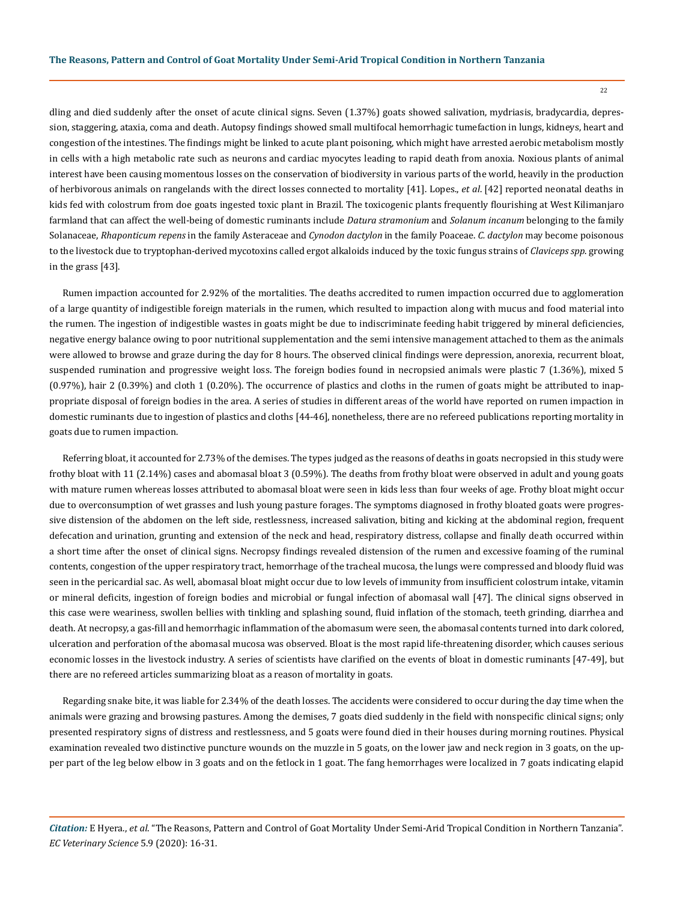dling and died suddenly after the onset of acute clinical signs. Seven (1.37%) goats showed salivation, mydriasis, bradycardia, depression, staggering, ataxia, coma and death. Autopsy findings showed small multifocal hemorrhagic tumefaction in lungs, kidneys, heart and congestion of the intestines. The findings might be linked to acute plant poisoning, which might have arrested aerobic metabolism mostly in cells with a high metabolic rate such as neurons and cardiac myocytes leading to rapid death from anoxia. Noxious plants of animal interest have been causing momentous losses on the conservation of biodiversity in various parts of the world, heavily in the production of herbivorous animals on rangelands with the direct losses connected to mortality [41]. Lopes., *et al*. [42] reported neonatal deaths in kids fed with colostrum from doe goats ingested toxic plant in Brazil. The toxicogenic plants frequently flourishing at West Kilimanjaro farmland that can affect the well-being of domestic ruminants include *Datura stramonium* and *Solanum incanum* belonging to the family Solanaceae, *Rhaponticum repens* in the family Asteraceae and *Cynodon dactylon* in the family Poaceae. *C. dactylon* may become poisonous to the livestock due to tryptophan-derived mycotoxins called ergot alkaloids induced by the toxic fungus strains of *Claviceps spp*. growing in the grass [43].

Rumen impaction accounted for 2.92% of the mortalities. The deaths accredited to rumen impaction occurred due to agglomeration of a large quantity of indigestible foreign materials in the rumen, which resulted to impaction along with mucus and food material into the rumen. The ingestion of indigestible wastes in goats might be due to indiscriminate feeding habit triggered by mineral deficiencies, negative energy balance owing to poor nutritional supplementation and the semi intensive management attached to them as the animals were allowed to browse and graze during the day for 8 hours. The observed clinical findings were depression, anorexia, recurrent bloat, suspended rumination and progressive weight loss. The foreign bodies found in necropsied animals were plastic 7 (1.36%), mixed 5 (0.97%), hair 2 (0.39%) and cloth 1 (0.20%). The occurrence of plastics and cloths in the rumen of goats might be attributed to inappropriate disposal of foreign bodies in the area. A series of studies in different areas of the world have reported on rumen impaction in domestic ruminants due to ingestion of plastics and cloths [44-46], nonetheless, there are no refereed publications reporting mortality in goats due to rumen impaction.

Referring bloat, it accounted for 2.73% of the demises. The types judged as the reasons of deaths in goats necropsied in this study were frothy bloat with 11 (2.14%) cases and abomasal bloat 3 (0.59%). The deaths from frothy bloat were observed in adult and young goats with mature rumen whereas losses attributed to abomasal bloat were seen in kids less than four weeks of age. Frothy bloat might occur due to overconsumption of wet grasses and lush young pasture forages. The symptoms diagnosed in frothy bloated goats were progressive distension of the abdomen on the left side, restlessness, increased salivation, biting and kicking at the abdominal region, frequent defecation and urination, grunting and extension of the neck and head, respiratory distress, collapse and finally death occurred within a short time after the onset of clinical signs. Necropsy findings revealed distension of the rumen and excessive foaming of the ruminal contents, congestion of the upper respiratory tract, hemorrhage of the tracheal mucosa, the lungs were compressed and bloody fluid was seen in the pericardial sac. As well, abomasal bloat might occur due to low levels of immunity from insufficient colostrum intake, vitamin or mineral deficits, ingestion of foreign bodies and microbial or fungal infection of abomasal wall [47]. The clinical signs observed in this case were weariness, swollen bellies with tinkling and splashing sound, fluid inflation of the stomach, teeth grinding, diarrhea and death. At necropsy, a gas-fill and hemorrhagic inflammation of the abomasum were seen, the abomasal contents turned into dark colored, ulceration and perforation of the abomasal mucosa was observed. Bloat is the most rapid life-threatening disorder, which causes serious economic losses in the livestock industry. A series of scientists have clarified on the events of bloat in domestic ruminants [47-49], but there are no refereed articles summarizing bloat as a reason of mortality in goats.

Regarding snake bite, it was liable for 2.34% of the death losses. The accidents were considered to occur during the day time when the animals were grazing and browsing pastures. Among the demises, 7 goats died suddenly in the field with nonspecific clinical signs; only presented respiratory signs of distress and restlessness, and 5 goats were found died in their houses during morning routines. Physical examination revealed two distinctive puncture wounds on the muzzle in 5 goats, on the lower jaw and neck region in 3 goats, on the upper part of the leg below elbow in 3 goats and on the fetlock in 1 goat. The fang hemorrhages were localized in 7 goats indicating elapid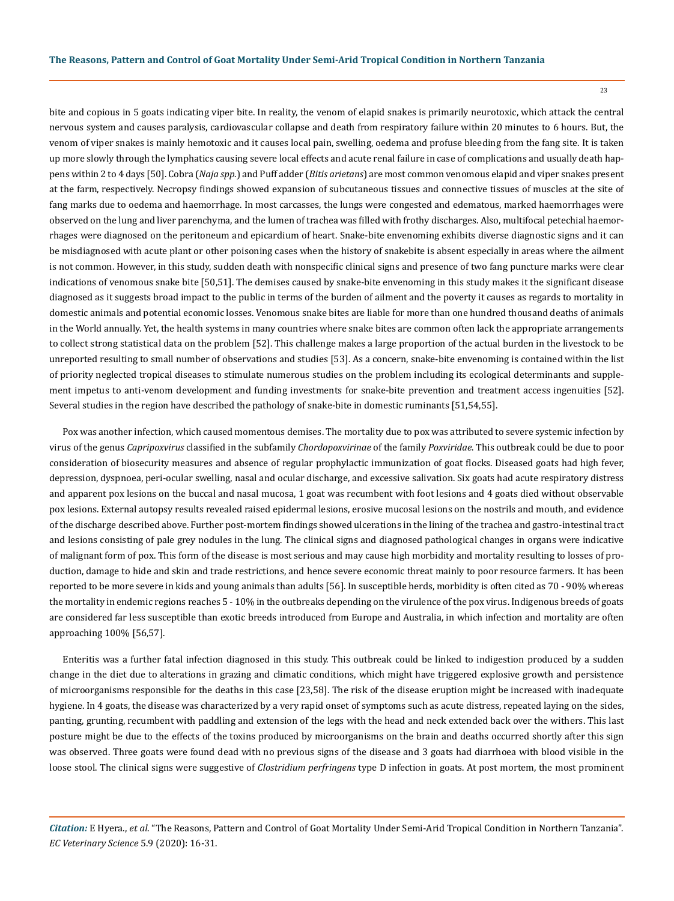bite and copious in 5 goats indicating viper bite. In reality, the venom of elapid snakes is primarily neurotoxic, which attack the central nervous system and causes paralysis, cardiovascular collapse and death from respiratory failure within 20 minutes to 6 hours. But, the venom of viper snakes is mainly hemotoxic and it causes local pain, swelling, oedema and profuse bleeding from the fang site. It is taken up more slowly through the lymphatics causing severe local effects and acute renal failure in case of complications and usually death happens within 2 to 4 days [50]. Cobra (*Naja spp*.) and Puff adder (*Bitis arietans*) are most common venomous elapid and viper snakes present at the farm, respectively. Necropsy findings showed expansion of subcutaneous tissues and connective tissues of muscles at the site of fang marks due to oedema and haemorrhage. In most carcasses, the lungs were congested and edematous, marked haemorrhages were observed on the lung and liver parenchyma, and the lumen of trachea was filled with frothy discharges. Also, multifocal petechial haemorrhages were diagnosed on the peritoneum and epicardium of heart. Snake-bite envenoming exhibits diverse diagnostic signs and it can be misdiagnosed with acute plant or other poisoning cases when the history of snakebite is absent especially in areas where the ailment is not common. However, in this study, sudden death with nonspecific clinical signs and presence of two fang puncture marks were clear indications of venomous snake bite [50,51]. The demises caused by snake-bite envenoming in this study makes it the significant disease diagnosed as it suggests broad impact to the public in terms of the burden of ailment and the poverty it causes as regards to mortality in domestic animals and potential economic losses. Venomous snake bites are liable for more than one hundred thousand deaths of animals in the World annually. Yet, the health systems in many countries where snake bites are common often lack the appropriate arrangements to collect strong statistical data on the problem [52]. This challenge makes a large proportion of the actual burden in the livestock to be unreported resulting to small number of observations and studies [53]. As a concern, snake-bite envenoming is contained within the list of priority neglected tropical diseases to stimulate numerous studies on the problem including its ecological determinants and supplement impetus to anti-venom development and funding investments for snake-bite prevention and treatment access ingenuities [52]. Several studies in the region have described the pathology of snake-bite in domestic ruminants [51,54,55].

Pox was another infection, which caused momentous demises. The mortality due to pox was attributed to severe systemic infection by virus of the genus *Capripoxvirus* classified in the subfamily *Chordopoxvirinae* of the family *Poxviridae*. This outbreak could be due to poor consideration of biosecurity measures and absence of regular prophylactic immunization of goat flocks. Diseased goats had high fever, depression, dyspnoea, peri-ocular swelling, nasal and ocular discharge, and excessive salivation. Six goats had acute respiratory distress and apparent pox lesions on the buccal and nasal mucosa, 1 goat was recumbent with foot lesions and 4 goats died without observable pox lesions. External autopsy results revealed raised epidermal lesions, erosive mucosal lesions on the nostrils and mouth, and evidence of the discharge described above. Further post-mortem findings showed ulcerations in the lining of the trachea and gastro-intestinal tract and lesions consisting of pale grey nodules in the lung. The clinical signs and diagnosed pathological changes in organs were indicative of malignant form of pox. This form of the disease is most serious and may cause high morbidity and mortality resulting to losses of production, damage to hide and skin and trade restrictions, and hence severe economic threat mainly to poor resource farmers. It has been reported to be more severe in kids and young animals than adults [56]. In susceptible herds, morbidity is often cited as 70 - 90% whereas the mortality in endemic regions reaches 5 - 10% in the outbreaks depending on the virulence of the pox virus. Indigenous breeds of goats are considered far less susceptible than exotic breeds introduced from Europe and Australia, in which infection and mortality are often approaching 100% [56,57].

Enteritis was a further fatal infection diagnosed in this study. This outbreak could be linked to indigestion produced by a sudden change in the diet due to alterations in grazing and climatic conditions, which might have triggered explosive growth and persistence of microorganisms responsible for the deaths in this case [23,58]. The risk of the disease eruption might be increased with inadequate hygiene. In 4 goats, the disease was characterized by a very rapid onset of symptoms such as acute distress, repeated laying on the sides, panting, grunting, recumbent with paddling and extension of the legs with the head and neck extended back over the withers. This last posture might be due to the effects of the toxins produced by microorganisms on the brain and deaths occurred shortly after this sign was observed. Three goats were found dead with no previous signs of the disease and 3 goats had diarrhoea with blood visible in the loose stool. The clinical signs were suggestive of *Clostridium perfringens* type D infection in goats. At post mortem, the most prominent

*Citation:* E Hyera., *et al*. "The Reasons, Pattern and Control of Goat Mortality Under Semi-Arid Tropical Condition in Northern Tanzania". *EC Veterinary Science* 5.9 (2020): 16-31.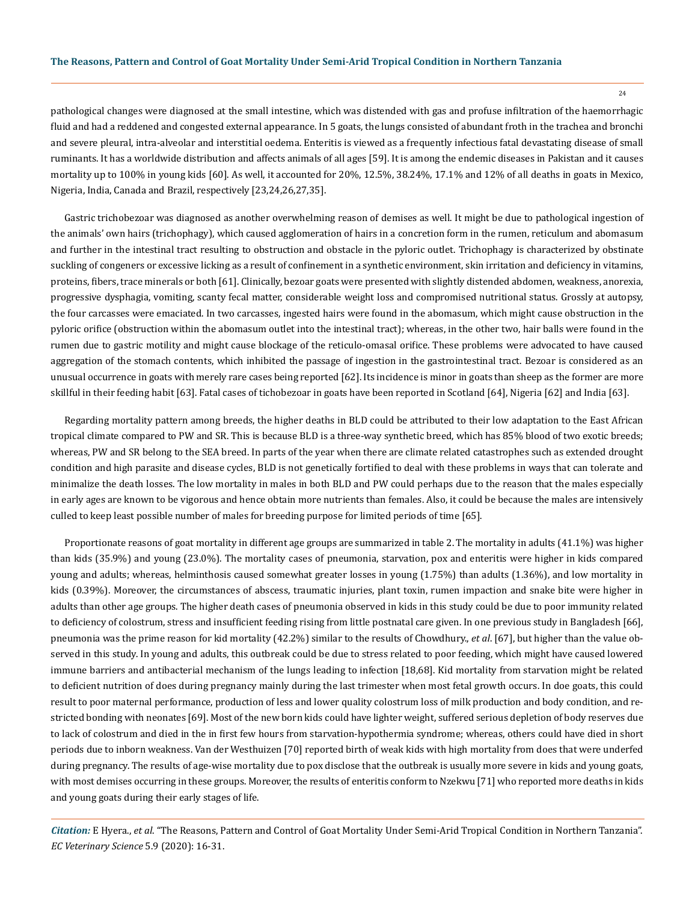pathological changes were diagnosed at the small intestine, which was distended with gas and profuse infiltration of the haemorrhagic fluid and had a reddened and congested external appearance. In 5 goats, the lungs consisted of abundant froth in the trachea and bronchi and severe pleural, intra-alveolar and interstitial oedema. Enteritis is viewed as a frequently infectious fatal devastating disease of small ruminants. It has a worldwide distribution and affects animals of all ages [59]. It is among the endemic diseases in Pakistan and it causes mortality up to 100% in young kids [60]. As well, it accounted for 20%, 12.5%, 38.24%, 17.1% and 12% of all deaths in goats in Mexico, Nigeria, India, Canada and Brazil, respectively [23,24,26,27,35].

Gastric trichobezoar was diagnosed as another overwhelming reason of demises as well. It might be due to pathological ingestion of the animals' own hairs (trichophagy), which caused agglomeration of hairs in a concretion form in the rumen, reticulum and abomasum and further in the intestinal tract resulting to obstruction and obstacle in the pyloric outlet. Trichophagy is characterized by obstinate suckling of congeners or excessive licking as a result of confinement in a synthetic environment, skin irritation and deficiency in vitamins, proteins, fibers, trace minerals or both [61]. Clinically, bezoar goats were presented with slightly distended abdomen, weakness, anorexia, progressive dysphagia, vomiting, scanty fecal matter, considerable weight loss and compromised nutritional status. Grossly at autopsy, the four carcasses were emaciated. In two carcasses, ingested hairs were found in the abomasum, which might cause obstruction in the pyloric orifice (obstruction within the abomasum outlet into the intestinal tract); whereas, in the other two, hair balls were found in the rumen due to gastric motility and might cause blockage of the reticulo-omasal orifice. These problems were advocated to have caused aggregation of the stomach contents, which inhibited the passage of ingestion in the gastrointestinal tract. Bezoar is considered as an unusual occurrence in goats with merely rare cases being reported [62]. Its incidence is minor in goats than sheep as the former are more skillful in their feeding habit [63]. Fatal cases of tichobezoar in goats have been reported in Scotland [64], Nigeria [62] and India [63].

Regarding mortality pattern among breeds, the higher deaths in BLD could be attributed to their low adaptation to the East African tropical climate compared to PW and SR. This is because BLD is a three-way synthetic breed, which has 85% blood of two exotic breeds; whereas, PW and SR belong to the SEA breed. In parts of the year when there are climate related catastrophes such as extended drought condition and high parasite and disease cycles, BLD is not genetically fortified to deal with these problems in ways that can tolerate and minimalize the death losses. The low mortality in males in both BLD and PW could perhaps due to the reason that the males especially in early ages are known to be vigorous and hence obtain more nutrients than females. Also, it could be because the males are intensively culled to keep least possible number of males for breeding purpose for limited periods of time [65].

Proportionate reasons of goat mortality in different age groups are summarized in table 2. The mortality in adults (41.1%) was higher than kids (35.9%) and young (23.0%). The mortality cases of pneumonia, starvation, pox and enteritis were higher in kids compared young and adults; whereas, helminthosis caused somewhat greater losses in young (1.75%) than adults (1.36%), and low mortality in kids (0.39%). Moreover, the circumstances of abscess, traumatic injuries, plant toxin, rumen impaction and snake bite were higher in adults than other age groups. The higher death cases of pneumonia observed in kids in this study could be due to poor immunity related to deficiency of colostrum, stress and insufficient feeding rising from little postnatal care given. In one previous study in Bangladesh [66], pneumonia was the prime reason for kid mortality (42.2%) similar to the results of Chowdhury., *et al*. [67], but higher than the value observed in this study. In young and adults, this outbreak could be due to stress related to poor feeding, which might have caused lowered immune barriers and antibacterial mechanism of the lungs leading to infection [18,68]. Kid mortality from starvation might be related to deficient nutrition of does during pregnancy mainly during the last trimester when most fetal growth occurs. In doe goats, this could result to poor maternal performance, production of less and lower quality colostrum loss of milk production and body condition, and restricted bonding with neonates [69]. Most of the new born kids could have lighter weight, suffered serious depletion of body reserves due to lack of colostrum and died in the in first few hours from starvation-hypothermia syndrome; whereas, others could have died in short periods due to inborn weakness. Van der Westhuizen [70] reported birth of weak kids with high mortality from does that were underfed during pregnancy. The results of age-wise mortality due to pox disclose that the outbreak is usually more severe in kids and young goats, with most demises occurring in these groups. Moreover, the results of enteritis conform to Nzekwu [71] who reported more deaths in kids and young goats during their early stages of life.

*Citation:* E Hyera., *et al*. "The Reasons, Pattern and Control of Goat Mortality Under Semi-Arid Tropical Condition in Northern Tanzania". *EC Veterinary Science* 5.9 (2020): 16-31.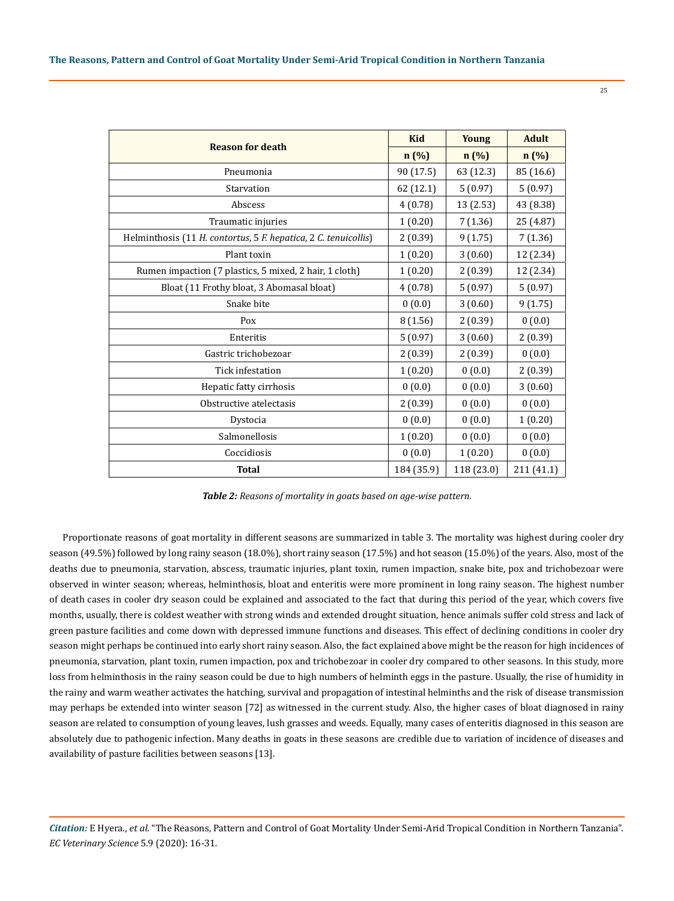|                                                                 | <b>Kid</b> | <b>Young</b> | <b>Adult</b> |
|-----------------------------------------------------------------|------------|--------------|--------------|
| <b>Reason for death</b>                                         | $n(\%)$    | $n(\%)$      | n (%)        |
| Pneumonia                                                       | 90 (17.5)  | 63 (12.3)    | 85 (16.6)    |
| Starvation                                                      | 62 (12.1)  | 5(0.97)      | 5(0.97)      |
| Abscess                                                         | 4(0.78)    | 13 (2.53)    | 43 (8.38)    |
| Traumatic injuries                                              | 1(0.20)    | 7(1.36)      | 25 (4.87)    |
| Helminthosis (11 H. contortus, 5 F. hepatica, 2 C. tenuicollis) | 2(0.39)    | 9(1.75)      | 7(1.36)      |
| Plant toxin                                                     | 1(0.20)    | 3(0.60)      | 12 (2.34)    |
| Rumen impaction (7 plastics, 5 mixed, 2 hair, 1 cloth)          | 1(0.20)    | 2(0.39)      | 12 (2.34)    |
| Bloat (11 Frothy bloat, 3 Abomasal bloat)                       | 4(0.78)    | 5(0.97)      | 5(0.97)      |
| Snake bite                                                      | 0(0.0)     | 3(0.60)      | 9(1.75)      |
| Pox                                                             | 8(1.56)    | 2(0.39)      | 0(0.0)       |
| Enteritis                                                       | 5(0.97)    | 3(0.60)      | 2(0.39)      |
| Gastric trichobezoar                                            | 2(0.39)    | 2(0.39)      | 0(0.0)       |
| Tick infestation                                                | 1(0.20)    | 0(0.0)       | 2(0.39)      |
| Hepatic fatty cirrhosis                                         | 0(0.0)     | 0(0.0)       | 3(0.60)      |
| Obstructive atelectasis                                         | 2(0.39)    | 0(0.0)       | 0(0.0)       |
| Dystocia                                                        | 0(0.0)     | 0(0.0)       | 1(0.20)      |
| Salmonellosis                                                   | 1(0.20)    | 0(0.0)       | 0(0.0)       |
| Coccidiosis                                                     | 0(0.0)     | 1(0.20)      | 0(0.0)       |
| <b>Total</b>                                                    | 184 (35.9) | 118 (23.0)   | 211 (41.1)   |

*Table 2: Reasons of mortality in goats based on age-wise pattern.*

Proportionate reasons of goat mortality in different seasons are summarized in table 3. The mortality was highest during cooler dry season (49.5%) followed by long rainy season (18.0%), short rainy season (17.5%) and hot season (15.0%) of the years. Also, most of the deaths due to pneumonia, starvation, abscess, traumatic injuries, plant toxin, rumen impaction, snake bite, pox and trichobezoar were observed in winter season; whereas, helminthosis, bloat and enteritis were more prominent in long rainy season. The highest number of death cases in cooler dry season could be explained and associated to the fact that during this period of the year, which covers five months, usually, there is coldest weather with strong winds and extended drought situation, hence animals suffer cold stress and lack of green pasture facilities and come down with depressed immune functions and diseases. This effect of declining conditions in cooler dry season might perhaps be continued into early short rainy season. Also, the fact explained above might be the reason for high incidences of pneumonia, starvation, plant toxin, rumen impaction, pox and trichobezoar in cooler dry compared to other seasons. In this study, more loss from helminthosis in the rainy season could be due to high numbers of helminth eggs in the pasture. Usually, the rise of humidity in the rainy and warm weather activates the hatching, survival and propagation of intestinal helminths and the risk of disease transmission may perhaps be extended into winter season [72] as witnessed in the current study. Also, the higher cases of bloat diagnosed in rainy season are related to consumption of young leaves, lush grasses and weeds. Equally, many cases of enteritis diagnosed in this season are absolutely due to pathogenic infection. Many deaths in goats in these seasons are credible due to variation of incidence of diseases and availability of pasture facilities between seasons [13].

*Citation:* E Hyera., *et al*. "The Reasons, Pattern and Control of Goat Mortality Under Semi-Arid Tropical Condition in Northern Tanzania". *EC Veterinary Science* 5.9 (2020): 16-31.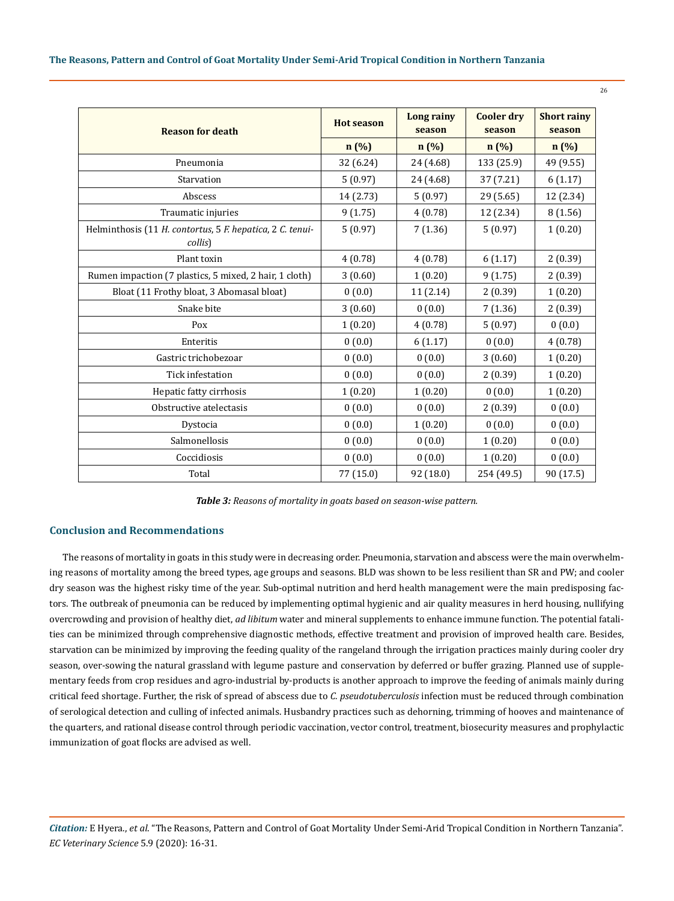| The Reasons, Pattern and Control of Goat Mortality Under Semi-Arid Tropical Condition in Northern Tanzania |  |  |  |
|------------------------------------------------------------------------------------------------------------|--|--|--|
|------------------------------------------------------------------------------------------------------------|--|--|--|

| <b>Reason for death</b>                                              | <b>Hot season</b> | <b>Long rainy</b><br>season | <b>Cooler dry</b><br>season | <b>Short rainy</b><br>season |
|----------------------------------------------------------------------|-------------------|-----------------------------|-----------------------------|------------------------------|
|                                                                      | n(%)              | $n(\%)$                     | $n(\%)$                     | n (%)                        |
| Pneumonia                                                            | 32 (6.24)         | 24 (4.68)                   | 133 (25.9)                  | 49 (9.55)                    |
| Starvation                                                           | 5(0.97)           | 24 (4.68)                   | 37 (7.21)                   | 6(1.17)                      |
| Abscess                                                              | 14 (2.73)         | 5(0.97)                     | 29 (5.65)                   | 12 (2.34)                    |
| Traumatic injuries                                                   | 9(1.75)           | 4(0.78)                     | 12 (2.34)                   | 8(1.56)                      |
| Helminthosis (11 H. contortus, 5 F. hepatica, 2 C. tenui-<br>collis) | 5(0.97)           | 7(1.36)                     | 5(0.97)                     | 1(0.20)                      |
| Plant toxin                                                          | 4(0.78)           | 4(0.78)                     | 6(1.17)                     | 2(0.39)                      |
| Rumen impaction (7 plastics, 5 mixed, 2 hair, 1 cloth)               | 3(0.60)           | 1(0.20)                     | 9(1.75)                     | 2(0.39)                      |
| Bloat (11 Frothy bloat, 3 Abomasal bloat)                            | 0(0.0)            | 11(2.14)                    | 2(0.39)                     | 1(0.20)                      |
| Snake bite                                                           | 3(0.60)           | 0(0.0)                      | 7(1.36)                     | 2(0.39)                      |
| Pox                                                                  | 1(0.20)           | 4(0.78)                     | 5(0.97)                     | 0(0.0)                       |
| Enteritis                                                            | 0(0.0)            | 6(1.17)                     | 0(0.0)                      | 4(0.78)                      |
| Gastric trichobezoar                                                 | 0(0.0)            | 0(0.0)                      | 3(0.60)                     | 1(0.20)                      |
| Tick infestation                                                     | 0(0.0)            | 0(0.0)                      | 2(0.39)                     | 1(0.20)                      |
| Hepatic fatty cirrhosis                                              | 1(0.20)           | 1(0.20)                     | 0(0.0)                      | 1(0.20)                      |
| Obstructive atelectasis                                              | 0(0.0)            | 0(0.0)                      | 2(0.39)                     | 0(0.0)                       |
| Dystocia                                                             | 0(0.0)            | 1(0.20)                     | 0(0.0)                      | 0(0.0)                       |
| Salmonellosis                                                        | 0(0.0)            | 0(0.0)                      | 1(0.20)                     | 0(0.0)                       |
| Coccidiosis                                                          | 0(0.0)            | 0(0.0)                      | 1(0.20)                     | 0(0.0)                       |
| Total                                                                | 77 (15.0)         | 92 (18.0)                   | 254 (49.5)                  | 90 (17.5)                    |

26

*Table 3: Reasons of mortality in goats based on season-wise pattern.*

# **Conclusion and Recommendations**

The reasons of mortality in goats in this study were in decreasing order. Pneumonia, starvation and abscess were the main overwhelming reasons of mortality among the breed types, age groups and seasons. BLD was shown to be less resilient than SR and PW; and cooler dry season was the highest risky time of the year. Sub-optimal nutrition and herd health management were the main predisposing factors. The outbreak of pneumonia can be reduced by implementing optimal hygienic and air quality measures in herd housing, nullifying overcrowding and provision of healthy diet, *ad libitum* water and mineral supplements to enhance immune function. The potential fatalities can be minimized through comprehensive diagnostic methods, effective treatment and provision of improved health care. Besides, starvation can be minimized by improving the feeding quality of the rangeland through the irrigation practices mainly during cooler dry season, over-sowing the natural grassland with legume pasture and conservation by deferred or buffer grazing. Planned use of supplementary feeds from crop residues and agro-industrial by-products is another approach to improve the feeding of animals mainly during critical feed shortage. Further, the risk of spread of abscess due to *C. pseudotuberculosis* infection must be reduced through combination of serological detection and culling of infected animals. Husbandry practices such as dehorning, trimming of hooves and maintenance of the quarters, and rational disease control through periodic vaccination, vector control, treatment, biosecurity measures and prophylactic immunization of goat flocks are advised as well.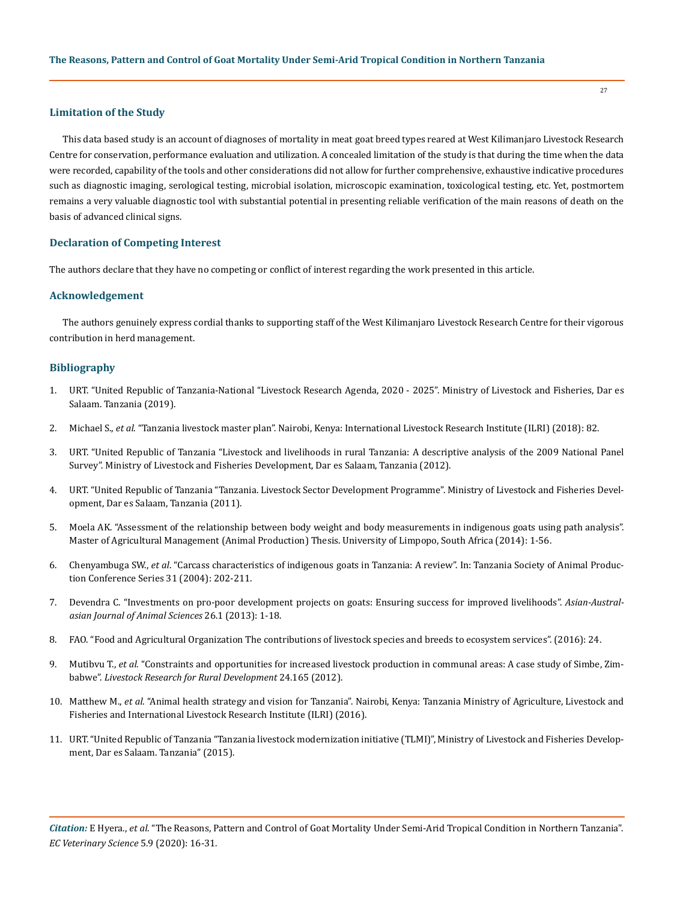### **Limitation of the Study**

This data based study is an account of diagnoses of mortality in meat goat breed types reared at West Kilimanjaro Livestock Research Centre for conservation, performance evaluation and utilization. A concealed limitation of the study is that during the time when the data were recorded, capability of the tools and other considerations did not allow for further comprehensive, exhaustive indicative procedures such as diagnostic imaging, serological testing, microbial isolation, microscopic examination, toxicological testing, etc. Yet, postmortem remains a very valuable diagnostic tool with substantial potential in presenting reliable verification of the main reasons of death on the basis of advanced clinical signs.

# **Declaration of Competing Interest**

The authors declare that they have no competing or conflict of interest regarding the work presented in this article.

## **Acknowledgement**

The authors genuinely express cordial thanks to supporting staff of the West Kilimanjaro Livestock Research Centre for their vigorous contribution in herd management.

# **Bibliography**

- 1. [URT. "United Republic of Tanzania-National "Livestock Research Agenda, 2020 2025". Ministry of Livestock and Fisheries, Dar es](https://www.mifugouvuvi.go.tz/uploads/publications/en1574241152-NATIONAL%20LIVESTOCK%20RESEACH%20AGENDA%20%202019%20(1).pdf)  [Salaam. Tanzania \(2019\).](https://www.mifugouvuvi.go.tz/uploads/publications/en1574241152-NATIONAL%20LIVESTOCK%20RESEACH%20AGENDA%20%202019%20(1).pdf)
- 2. Michael S., *et al*[. "Tanzania livestock master plan". Nairobi, Kenya: International Livestock Research Institute \(ILRI\) \(2018\): 82.](https://www.ilri.org/research/projects/tanzania-livestock-master-plan-lmp)
- 3. [URT. "United Republic of Tanzania "Livestock and livelihoods in rural Tanzania: A descriptive analysis of the 2009 National Panel](https://documents.worldbank.org/en/publication/documents-reports/documentdetail/141341468132878632/livestock-and-livelihoods-in-rural-tanzania-a-descriptive-analysis-of-the-2009-national-panel-survey)  [Survey". Ministry of Livestock and Fisheries Development, Dar es Salaam, Tanzania \(2012\).](https://documents.worldbank.org/en/publication/documents-reports/documentdetail/141341468132878632/livestock-and-livelihoods-in-rural-tanzania-a-descriptive-analysis-of-the-2009-national-panel-survey)
- 4. URT. "United Republic of Tanzania "Tanzania. Livestock Sector Development Programme". Ministry of Livestock and Fisheries Development, Dar es Salaam, Tanzania (2011).
- 5. [Moela AK. "Assessment of the relationship between body weight and body measurements in indigenous goats using path analysis".](http://ulspace.ul.ac.za/handle/10386/1317)  [Master of Agricultural Management \(Animal Production\) Thesis. University of Limpopo, South Africa \(2014\): 1-56.](http://ulspace.ul.ac.za/handle/10386/1317)
- 6. Chenyambuga SW., *et al*. "Carcass characteristics of indigenous goats in Tanzania: A review". In: Tanzania Society of Animal Production Conference Series 31 (2004): 202-211.
- 7. [Devendra C. "Investments on pro-poor development projects on goats: Ensuring success for improved livelihoods".](https://www.researchgate.net/publication/264128399_Investments_on_Pro-poor_Development_Projects_on_Goats_Ensuring_Success_for_Improved_Livelihoods) *Asian-Austral[asian Journal of Animal Sciences](https://www.researchgate.net/publication/264128399_Investments_on_Pro-poor_Development_Projects_on_Goats_Ensuring_Success_for_Improved_Livelihoods)* 26.1 (2013): 1-18.
- 8. FAO. "Food and Agricultural Organization The contributions of livestock species and breeds to ecosystem services". (2016): 24.
- 9. Mutibvu T., *et al*[. "Constraints and opportunities for increased livestock production in communal areas: A case study of Simbe, Zim](https://www.researchgate.net/publication/281268149_Constraints_and_opportunities_for_increased_livestock_production_in_communal_areas_A_case_study_of_Simbe_Zimbabwe)babwe". *[Livestock Research for Rural Development](https://www.researchgate.net/publication/281268149_Constraints_and_opportunities_for_increased_livestock_production_in_communal_areas_A_case_study_of_Simbe_Zimbabwe)* 24.165 (2012).
- 10. Matthew M., *et al*[. "Animal health strategy and vision for Tanzania". Nairobi, Kenya: Tanzania Ministry of Agriculture, Livestock and](https://core.ac.uk/download/pdf/132690299.pdf)  [Fisheries and International Livestock Research Institute \(ILRI\) \(2016\).](https://core.ac.uk/download/pdf/132690299.pdf)
- 11. URT. "United Republic of Tanzania "Tanzania livestock modernization initiative (TLMI)", Ministry of Livestock and Fisheries Development, Dar es Salaam. Tanzania" (2015).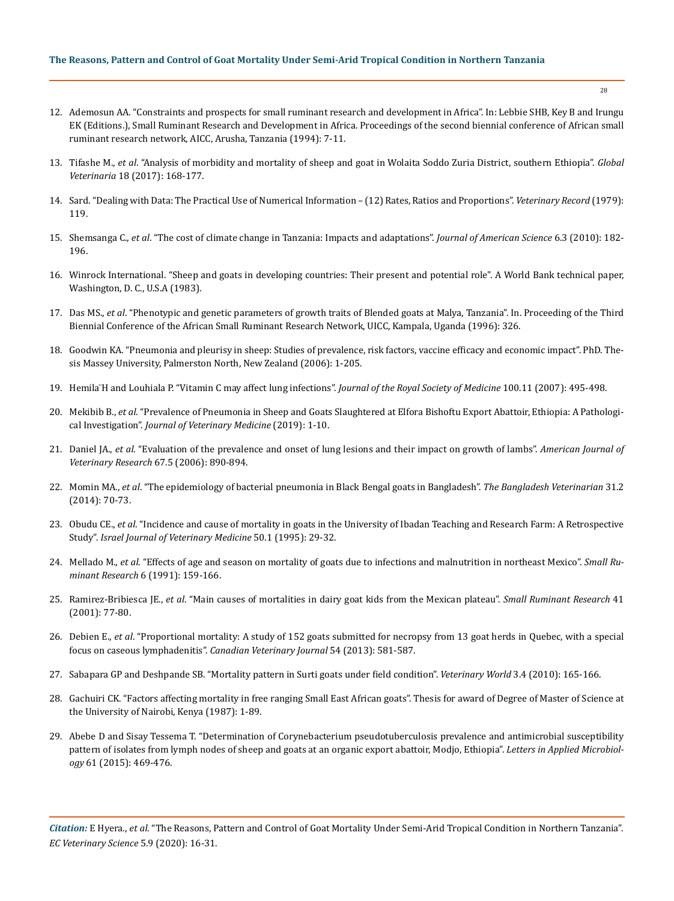- 12. Ademosun AA. "Constraints and prospects for small ruminant research and development in Africa". In: Lebbie SHB, Key B and Irungu EK (Editions.), Small Ruminant Research and Development in Africa. Proceedings of the second biennial conference of African small ruminant research network, AICC, Arusha, Tanzania (1994): 7-11.
- 13. Tifashe M., *et al*[. "Analysis of morbidity and mortality of sheep and goat in Wolaita Soddo Zuria District, southern Ethiopia".](https://www.researchgate.net/publication/316748908_Analysis_of_Morbidity_and_Mortality_of_Sheep_and_Goat_in_Wolaita_Soddo_Zuria_District_Southern_Ethiopia) *Global Veterinaria* [18 \(2017\): 168-177.](https://www.researchgate.net/publication/316748908_Analysis_of_Morbidity_and_Mortality_of_Sheep_and_Goat_in_Wolaita_Soddo_Zuria_District_Southern_Ethiopia)
- 14. [Sard. "Dealing with Data: The Practical Use of Numerical Information \(12\) Rates, Ratios and Proportions".](file:///F:/Not%20Uploaded/ECVE/ECVE-20-RA-180/) *Veterinary Record* (1979): [119.](file:///F:/Not%20Uploaded/ECVE/ECVE-20-RA-180/)
- 15. Shemsanga C., *et al*[. "The cost of climate change in Tanzania: Impacts and adaptations".](http://www.jofamericanscience.org/journals/am-sci/am0603/24_2189_climate_am0603_182_196.pdf) *Journal of American Science* 6.3 (2010): 182- [196.](http://www.jofamericanscience.org/journals/am-sci/am0603/24_2189_climate_am0603_182_196.pdf)
- 16. [Winrock International. "Sheep and goats in developing countries: Their present and potential role". A World Bank technical paper,](https://documents.worldbank.org/en/publication/documents-reports/documentdetail/156211468764420473/sheep-and-goats-in-developing-countries-their-present-and-potential-role)  [Washington, D. C., U.S.A \(1983\).](https://documents.worldbank.org/en/publication/documents-reports/documentdetail/156211468764420473/sheep-and-goats-in-developing-countries-their-present-and-potential-role)
- 17. Das MS., *et al*[. "Phenotypic and genetic parameters of growth traits of Blended goats at Malya, Tanzania". In. Proceeding of the Third](https://agris.fao.org/agris-search/search.do?recordID=QM9600061)  [Biennial Conference of the African Small Ruminant Research Network, UICC, Kampala, Uganda \(1996\): 326.](https://agris.fao.org/agris-search/search.do?recordID=QM9600061)
- 18. [Goodwin KA. "Pneumonia and pleurisy in sheep: Studies of prevalence, risk factors, vaccine efficacy and economic impact". PhD. The](https://mro.massey.ac.nz/handle/10179/1497)[sis Massey University, Palmerston North, New Zealand \(2006\): 1-205.](https://mro.massey.ac.nz/handle/10179/1497)
- 19. [Hemila ̈H and Louhiala P. "Vitamin C may affect lung infections".](https://pubmed.ncbi.nlm.nih.gov/18048704/) *Journal of the Royal Society of Medicine* 100.11 (2007): 495-498.
- 20. Mekibib B., *et al*[. "Prevalence of Pneumonia in Sheep and Goats Slaughtered at Elfora Bishoftu Export Abattoir, Ethiopia: A Pathologi](https://pubmed.ncbi.nlm.nih.gov/31396540/)cal Investigation". *[Journal of Veterinary Medicine](https://pubmed.ncbi.nlm.nih.gov/31396540/)* (2019): 1-10.
- 21. Daniel JA., *et al*[. "Evaluation of the prevalence and onset of lung lesions and their impact on growth of lambs".](https://pubmed.ncbi.nlm.nih.gov/16649926/) *American Journal of [Veterinary Research](https://pubmed.ncbi.nlm.nih.gov/16649926/)* 67.5 (2006): 890-894.
- 22. Momin MA., *et al*[. "The epidemiology of bacterial pneumonia in Black Bengal goats in Bangladesh".](https://www.banglajol.info/index.php/BVET/article/view/27687) *The Bangladesh Veterinarian* 31.2 [\(2014\): 70-73.](https://www.banglajol.info/index.php/BVET/article/view/27687)
- 23. Obudu CE., *et al*[. "Incidence and cause of mortality in goats in the University of Ibadan Teaching and Research Farm: A Retrospective](https://www.researchgate.net/publication/289672954_Incidence_and_causes_of_mortality_in_the_goats_on_the_University_of_Ibadan_Teaching_and_Research_FarmA_Retrospective_study)  Study". *[Israel Journal of Veterinary Medicine](https://www.researchgate.net/publication/289672954_Incidence_and_causes_of_mortality_in_the_goats_on_the_University_of_Ibadan_Teaching_and_Research_FarmA_Retrospective_study)* 50.1 (1995): 29-32.
- 24. Mellado M., *et al*[. "Effects of age and season on mortality of goats due to infections and malnutrition in northeast Mexico".](https://www.sciencedirect.com/science/article/abs/pii/092144889190019M) *Small Ru[minant Research](https://www.sciencedirect.com/science/article/abs/pii/092144889190019M)* 6 (1991): 159-166.
- 25. Ramirez-Bribiesca JE., *et al*[. "Main causes of mortalities in dairy goat kids from the Mexican plateau".](https://pubmed.ncbi.nlm.nih.gov/11423237/) *Small Ruminant Research* 41 [\(2001\): 77-80.](https://pubmed.ncbi.nlm.nih.gov/11423237/)
- 26. Debien E., *et al*[. "Proportional mortality: A study of 152 goats submitted for necropsy from 13 goat herds in Quebec, with a special](https://pubmed.ncbi.nlm.nih.gov/24155449/)  focus on caseous lymphadenitis". *[Canadian Veterinary Journal](https://pubmed.ncbi.nlm.nih.gov/24155449/)* 54 (2013): 581-587.
- 27. [Sabapara GP and Deshpande SB. "Mortality pattern in Surti goats under field condition".](http://www.veterinaryworld.org/Vol.3/April/Mortality%20Pattern%20in%20Surti%20Goats%20under%20Field%20Condition.pdf) *Veterinary World* 3.4 (2010): 165-166.
- 28. [Gachuiri CK. "Factors affecting mortality in free ranging Small East African goats". Thesis for award of Degree of Master of Science at](http://erepository.uonbi.ac.ke/handle/11295/45470)  [the University of Nairobi, Kenya \(1987\): 1-89.](http://erepository.uonbi.ac.ke/handle/11295/45470)
- 29. [Abebe D and Sisay Tessema T. "Determination of Corynebacterium pseudotuberculosis prevalence and antimicrobial susceptibility](https://sfamjournals.onlinelibrary.wiley.com/doi/full/10.1111/lam.12482)  [pattern of isolates from lymph nodes of sheep and goats at an organic export abattoir, Modjo, Ethiopia".](https://sfamjournals.onlinelibrary.wiley.com/doi/full/10.1111/lam.12482) *Letters in Applied Microbiology* [61 \(2015\): 469-476.](https://sfamjournals.onlinelibrary.wiley.com/doi/full/10.1111/lam.12482)

*Citation:* E Hyera., *et al*. "The Reasons, Pattern and Control of Goat Mortality Under Semi-Arid Tropical Condition in Northern Tanzania". *EC Veterinary Science* 5.9 (2020): 16-31.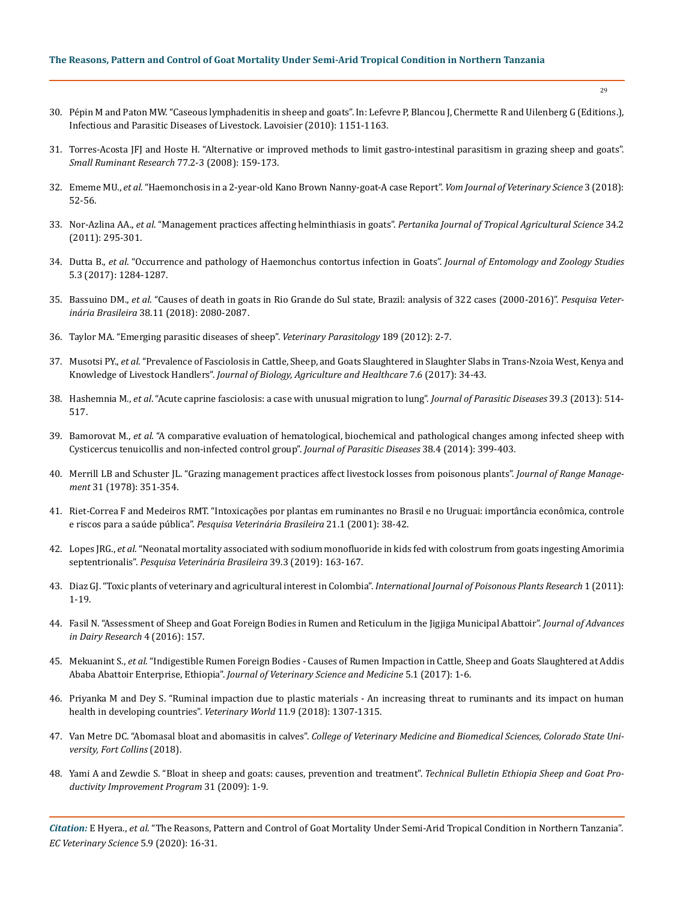- 30. [Pépin M and Paton MW. "Caseous lymphadenitis in sheep and goats". In: Lefevre P, Blancou J, Chermette R and Uilenberg G \(Editions.\),](https://www.researchgate.net/publication/292514560_Caseous_lymphadenitis_in_sheep_and_goats)  [Infectious and Parasitic Diseases of Livestock. Lavoisier \(2010\): 1151-1163.](https://www.researchgate.net/publication/292514560_Caseous_lymphadenitis_in_sheep_and_goats)
- 31. [Torres-Acosta JFJ and Hoste H. "Alternative or improved methods to limit gastro-intestinal parasitism in grazing sheep and goats".](https://www.sciencedirect.com/science/article/abs/pii/S0921448808000680)  *[Small Ruminant Research](https://www.sciencedirect.com/science/article/abs/pii/S0921448808000680)* 77.2-3 (2008): 159-173.
- 32. Ememe MU., *et al*[. "Haemonchosis in a 2-year-old Kano Brown Nanny-goat-A case Report".](https://www.bibliomed.org/?mno=294574) *Vom Journal of Veterinary Science* 3 (2018): [52-56.](https://www.bibliomed.org/?mno=294574)
- 33. Nor-Azlina AA., *et al*. "Management practices affecting helminthiasis in goats". *[Pertanika Journal of Tropical Agricultural Science](https://www.researchgate.net/publication/266842225_Management_Practices_Affecting_Helminthiasis_in_Goats)* 34.2 [\(2011\): 295-301.](https://www.researchgate.net/publication/266842225_Management_Practices_Affecting_Helminthiasis_in_Goats)
- 34. Dutta B., *et al*[. "Occurrence and pathology of Haemonchus contortus infection in Goats".](http://www.entomoljournal.com/archives/2017/vol5issue3/PartR/5-3-122-461.pdf) *Journal of Entomology and Zoology Studies*  [5.3 \(2017\): 1284-1287.](http://www.entomoljournal.com/archives/2017/vol5issue3/PartR/5-3-122-461.pdf)
- 35. Bassuino DM., *et al*[. "Causes of death in goats in Rio Grande do Sul state, Brazil: analysis of 322 cases \(2000-2016\)".](https://www.scielo.br/scielo.php?pid=S0100-736X2018001102080&script=sci_arttext) *Pesquisa Veterinária Brasileira* [38.11 \(2018\): 2080-2087.](https://www.scielo.br/scielo.php?pid=S0100-736X2018001102080&script=sci_arttext)
- 36. [Taylor MA. "Emerging parasitic diseases of sheep".](https://pubmed.ncbi.nlm.nih.gov/22525586/) *Veterinary Parasitology* 189 (2012): 2-7.
- 37. Musotsi PY., *et al*[. "Prevalence of Fasciolosis in Cattle, Sheep, and Goats Slaughtered in Slaughter Slabs in Trans-Nzoia West, Kenya and](https://www.researchgate.net/publication/316879496_Prevalence_of_Fasciolosis_in_Cattle_Sheep_and_Goats_Slaughtered_in_Slaughter_Slabs_in_Trans-Nzoia_West_Kenya_and_Knowledge_of_Livestock_Handlers)  Knowledge of Livestock Handlers". *[Journal of Biology, Agriculture and Healthcare](https://www.researchgate.net/publication/316879496_Prevalence_of_Fasciolosis_in_Cattle_Sheep_and_Goats_Slaughtered_in_Slaughter_Slabs_in_Trans-Nzoia_West_Kenya_and_Knowledge_of_Livestock_Handlers)* 7.6 (2017): 34-43.
- 38. Hashemnia M., *et al*[. "Acute caprine fasciolosis: a case with unusual migration to lung".](https://www.ncbi.nlm.nih.gov/pmc/articles/PMC4554598/) *Journal of Parasitic Diseases* 39.3 (2013): 514- [517.](https://www.ncbi.nlm.nih.gov/pmc/articles/PMC4554598/)
- 39. Bamorovat M., *et al*[. "A comparative evaluation of hematological, biochemical and pathological changes among infected sheep with](https://www.ncbi.nlm.nih.gov/pmc/articles/PMC4185037/)  [Cysticercus tenuicollis and non-infected control group".](https://www.ncbi.nlm.nih.gov/pmc/articles/PMC4185037/) *Journal of Parasitic Diseases* 38.4 (2014): 399-403.
- 40. Merrill LB and Schuster JL. "Grazing management practices affect livestock losses from poisonous plants". *Journal of Range Management* 31 (1978): 351-354.
- 41. [Riet-Correa F and Medeiros RMT. "Intoxicações por plantas em ruminantes no Brasil e no Uruguai: importância econômica, controle](https://www.scielo.br/scielo.php?pid=S0100-736X2001000100008&script=sci_arttext&tlng=pt)  e riscos para a saúde pública". *[Pesquisa Veterinária Brasileira](https://www.scielo.br/scielo.php?pid=S0100-736X2001000100008&script=sci_arttext&tlng=pt)* 21.1 (2001): 38-42.
- 42. Lopes JRG., *et al*[. "Neonatal mortality associated with sodium monofluoride in kids fed with colostrum from goats ingesting Amorimia](https://www.scielo.br/scielo.php?script=sci_arttext&pid=S0100-736X2019000300163)  septentrionalis". *[Pesquisa Veterinária Brasileira](https://www.scielo.br/scielo.php?script=sci_arttext&pid=S0100-736X2019000300163)* 39.3 (2019): 163-167.
- 43. [Diaz GJ. "Toxic plants of veterinary and agricultural interest in Colombia".](https://pdfs.semanticscholar.org/0e29/c231ee408397d92b0966dafde93743b414af.pdf) *International Journal of Poisonous Plants Research* 1 (2011): [1-19.](https://pdfs.semanticscholar.org/0e29/c231ee408397d92b0966dafde93743b414af.pdf)
- 44. [Fasil N. "Assessment of Sheep and Goat Foreign Bodies in Rumen and Reticulum in the Jigjiga Municipal Abattoir".](https://www.longdom.org/open-access/assessment-of-sheep-and-goat-foreign-bodies-in-rumen-and-reticulum-in-the-jigjiga-municipal-abattiar-2329-888X-1000158.pdf) *Journal of Advances [in Dairy Research](https://www.longdom.org/open-access/assessment-of-sheep-and-goat-foreign-bodies-in-rumen-and-reticulum-in-the-jigjiga-municipal-abattiar-2329-888X-1000158.pdf)* 4 (2016): 157.
- 45. Mekuanint S., *et al*[. "Indigestible Rumen Foreign Bodies Causes of Rumen Impaction in Cattle, Sheep and Goats Slaughtered at Addis](https://www.researchgate.net/publication/333186533_Indigestible_Rumen_Foreign_Bodies_-_Causes_of_Rumen_Impaction_in_Cattle_Sheep_and_Goats_Slaughtered_at_Addis_Ababa_Abattoir_Enterprise_Ethiopia) Ababa Abattoir Enterprise, Ethiopia". *[Journal of Veterinary Science and Medicine](https://www.researchgate.net/publication/333186533_Indigestible_Rumen_Foreign_Bodies_-_Causes_of_Rumen_Impaction_in_Cattle_Sheep_and_Goats_Slaughtered_at_Addis_Ababa_Abattoir_Enterprise_Ethiopia)* 5.1 (2017): 1-6.
- 46. [Priyanka M and Dey S. "Ruminal impaction due to plastic materials An increasing threat to ruminants and its impact on human](https://projectchampionz.com.ng/2020/01/06/ruminal-impaction-due-to-plastic-materials-an-increasing-threat-to-ruminants-and-its-impact-on-human-health-in-developing-countries/)  [health in developing countries".](https://projectchampionz.com.ng/2020/01/06/ruminal-impaction-due-to-plastic-materials-an-increasing-threat-to-ruminants-and-its-impact-on-human-health-in-developing-countries/) *Veterinary World* 11.9 (2018): 1307-1315.
- 47. Van Metre DC. "Abomasal bloat and abomasitis in calves". *[College of Veterinary Medicine and Biomedical Sciences, Colorado State Uni](https://www.dairyherd.com/article/acute-bloat-syndrome-dairy-calves)[versity, Fort Collins](https://www.dairyherd.com/article/acute-bloat-syndrome-dairy-calves)* (2018).
- 48. [Yami A and Zewdie S. "Bloat in sheep and goats: causes, prevention and treatment".](https://issuu.com/esgpip/docs/technical_bulletin_no_31) *Technical Bulletin Ethiopia Sheep and Goat Pro[ductivity Improvement Program](https://issuu.com/esgpip/docs/technical_bulletin_no_31)* 31 (2009): 1-9.

*Citation:* E Hyera., *et al*. "The Reasons, Pattern and Control of Goat Mortality Under Semi-Arid Tropical Condition in Northern Tanzania". *EC Veterinary Science* 5.9 (2020): 16-31.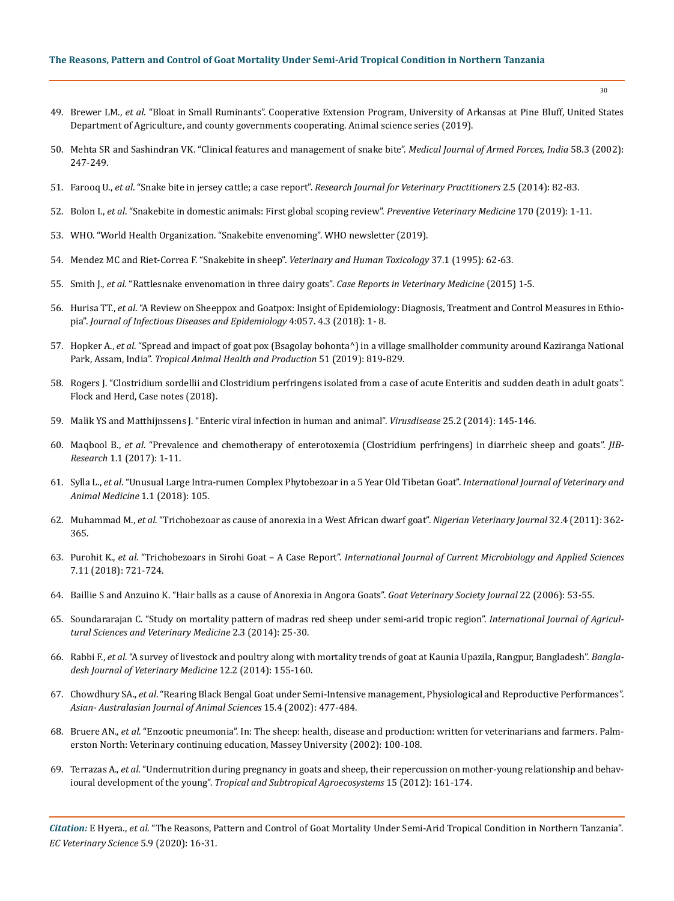- 49. Brewer LM., *et al*[. "Bloat in Small Ruminants". Cooperative Extension Program, University of Arkansas at Pine Bluff, United States](http://www.uapb.edu/sites/www/Uploads/SAFHS/FSA9625.pdf)  [Department of Agriculture, and county governments cooperating. Animal science series \(2019\).](http://www.uapb.edu/sites/www/Uploads/SAFHS/FSA9625.pdf)
- 50. Mehta SR and Sashindran VK. "Clinical features and management of snake bite". *Medical Journal of Armed Forces, India* 58.3 (2002): 247-249.
- 51. Farooq U., *et al*. "Snake bite in jersey cattle; a case report". *[Research Journal for Veterinary Practitioners](https://www.researchgate.net/publication/262337492_Snake_Bite_in_Jersey_Cattle_a_Case_Report)* 2.5 (2014): 82-83.
- 52. Bolon I., *et al*[. "Snakebite in domestic animals: First global scoping review".](https://www.sciencedirect.com/science/article/pii/S0167587718307001) *Preventive Veterinary Medicine* 170 (2019): 1-11.
- 53. [WHO. "World Health Organization. "Snakebite envenoming". WHO newsletter \(2019\).](https://www.who.int/health-topics/snakebite)
- 54. [Mendez MC and Riet-Correa F. "Snakebite in sheep".](https://pubmed.ncbi.nlm.nih.gov/7709596/) *Veterinary and Human Toxicology* 37.1 (1995): 62-63.
- 55. Smith J., *et al*[. "Rattlesnake envenomation in three dairy goats".](https://www.hindawi.com/journals/crivem/2015/787534/) *Case Reports in Veterinary Medicine* (2015) 1-5.
- 56. Hurisa TT., *et al*[. "A Review on Sheeppox and Goatpox: Insight of Epidemiology: Diagnosis, Treatment and Control Measures in Ethio](https://clinmedjournals.org/articles/jide/journal-of-infectious-diseases-and-epidemiology-jide-4-057-abs.php?jid=jide)pia". *[Journal of Infectious Diseases and Epidemiology](https://clinmedjournals.org/articles/jide/journal-of-infectious-diseases-and-epidemiology-jide-4-057-abs.php?jid=jide)* 4:057. 4.3 (2018): 1- 8.
- 57. Hopker A., *et al*[. "Spread and impact of goat pox \(Bsagolay bohonta^\) in a village smallholder community around Kaziranga National](https://www.ncbi.nlm.nih.gov/pmc/articles/PMC6469614/)  Park, Assam, India". *[Tropical Animal Health and Production](https://www.ncbi.nlm.nih.gov/pmc/articles/PMC6469614/)* 51 (2019): 819-829.
- 58. Rogers J. "Clostridium sordellii and Clostridium perfringens isolated from a case of acute Enteritis and sudden death in adult goats". Flock and Herd, Case notes (2018).
- 59. [Malik YS and Matthijnssens J. "Enteric viral infection in human and animal".](https://link.springer.com/article/10.1007/s13337-014-0224-x) *Virusdisease* 25.2 (2014): 145-146.
- 60. Maqbool B., *et al*[. "Prevalence and chemotherapy of enterotoxemia \(Clostridium perfringens\) in diarrheic sheep and goats".](https://www.researchgate.net/publication/329866644_Prevalence_and_chemotherapy_of_enterotoxemia_Clostridium_perfringens_in_diarrheic_sheep_and_goats) *JIB-Research* [1.1 \(2017\): 1-11.](https://www.researchgate.net/publication/329866644_Prevalence_and_chemotherapy_of_enterotoxemia_Clostridium_perfringens_in_diarrheic_sheep_and_goats)
- 61. Sylla L., *et al*[. "Unusual Large Intra-rumen Complex Phytobezoar in a 5 Year Old Tibetan Goat".](https://www.boffinaccess.com/open-access-journals/international-journal-of-veterinary-and-animal-medicine/ijvam-1-105.pdf) *International Journal of Veterinary and [Animal Medicine](https://www.boffinaccess.com/open-access-journals/international-journal-of-veterinary-and-animal-medicine/ijvam-1-105.pdf)* 1.1 (2018): 105.
- 62. Muhammad M., *et al*[. "Trichobezoar as cause of anorexia in a West African dwarf goat".](https://www.researchgate.net/publication/280940397_Trichobezoar_as_a_Cause_of_Anorexia_in_A_West_African_Dwarf_Goat) *Nigerian Veterinary Journal* 32.4 (2011): 362- [365.](https://www.researchgate.net/publication/280940397_Trichobezoar_as_a_Cause_of_Anorexia_in_A_West_African_Dwarf_Goat)
- 63. Purohit K., *et al*. "Trichobezoars in Sirohi Goat A Case Report". *[International Journal of Current Microbiology and Applied Sciences](https://www.ijcmas.com/7-11-2018/Kamal%20Purohit,%20et%20al.pdf)*  [7.11 \(2018\): 721-724.](https://www.ijcmas.com/7-11-2018/Kamal%20Purohit,%20et%20al.pdf)
- 64. [Baillie S and Anzuino K. "Hair balls as a cause of Anorexia in Angora Goats".](https://www.researchgate.net/publication/285665993_Hairballs_as_a_cause_of_anorexia_in_Angora_goats) *Goat Veterinary Society Journal* 22 (2006): 53-55.
- 65. [Soundararajan C. "Study on mortality pattern of madras red sheep under semi-arid tropic region".](https://www.researchgate.net/publication/327764728_Study_on_mortality_pattern_in_Madras_red_sheep_under_semi_arid_tropic_region) *International Journal of Agricul[tural Sciences and Veterinary Medicine](https://www.researchgate.net/publication/327764728_Study_on_mortality_pattern_in_Madras_red_sheep_under_semi_arid_tropic_region)* 2.3 (2014): 25-30.
- 66. Rabbi F., *et al*[. "A survey of livestock and poultry along with mortality trends of goat at Kaunia Upazila, Rangpur, Bangladesh".](https://www.banglajol.info/index.php/BJVM/article/view/21278) *Bangla[desh Journal of Veterinary Medicine](https://www.banglajol.info/index.php/BJVM/article/view/21278)* 12.2 (2014): 155-160.
- 67. Chowdhury SA., *et al*[. "Rearing Black Bengal Goat under Semi-Intensive management, Physiological and Reproductive Performances".](https://www.researchgate.net/publication/283880325_Rearing_Black_Bengal_Goat_under_Semi-Intensive_Management_1_Physiological_and_Reproductive_Performances)  *[Asian- Australasian Journal of Animal Sciences](https://www.researchgate.net/publication/283880325_Rearing_Black_Bengal_Goat_under_Semi-Intensive_Management_1_Physiological_and_Reproductive_Performances)* 15.4 (2002): 477-484.
- 68. Bruere AN., *et al*. "Enzootic pneumonia". In: The sheep: health, disease and production: written for veterinarians and farmers. Palmerston North: Veterinary continuing education, Massey University (2002): 100-108.
- 69. Terrazas A., *et al*[. "Undernutrition during pregnancy in goats and sheep, their repercussion on mother-young relationship and behav](https://www.researchgate.net/publication/279670166_Undernutrition_during_pregnancy_in_goats_and_sheep_their_repercussion_on_mother-young_relationship_and_behavioural_development_of_the_young)ioural development of the young". *[Tropical and Subtropical Agroecosystems](https://www.researchgate.net/publication/279670166_Undernutrition_during_pregnancy_in_goats_and_sheep_their_repercussion_on_mother-young_relationship_and_behavioural_development_of_the_young)* 15 (2012): 161-174.

*Citation:* E Hyera., *et al*. "The Reasons, Pattern and Control of Goat Mortality Under Semi-Arid Tropical Condition in Northern Tanzania". *EC Veterinary Science* 5.9 (2020): 16-31.